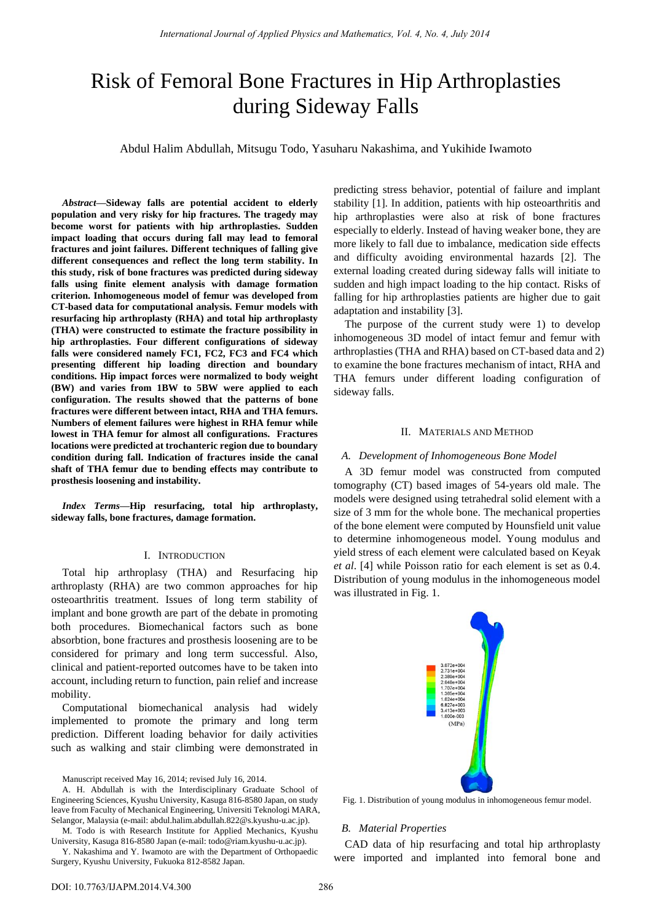# Risk of Femoral Bone Fractures in Hip Arthroplasties during Sideway Falls

Abdul Halim Abdullah, Mitsugu Todo, Yasuharu Nakashima, and Yukihide Iwamoto

*Abstract***—Sideway falls are potential accident to elderly population and very risky for hip fractures. The tragedy may become worst for patients with hip arthroplasties. Sudden impact loading that occurs during fall may lead to femoral fractures and joint failures. Different techniques of falling give different consequences and reflect the long term stability. In this study, risk of bone fractures was predicted during sideway falls using finite element analysis with damage formation criterion. Inhomogeneous model of femur was developed from CT-based data for computational analysis. Femur models with resurfacing hip arthroplasty (RHA) and total hip arthroplasty (THA) were constructed to estimate the fracture possibility in hip arthroplasties. Four different configurations of sideway falls were considered namely FC1, FC2, FC3 and FC4 which presenting different hip loading direction and boundary conditions. Hip impact forces were normalized to body weight (BW) and varies from 1BW to 5BW were applied to each configuration. The results showed that the patterns of bone fractures were different between intact, RHA and THA femurs. Numbers of element failures were highest in RHA femur while lowest in THA femur for almost all configurations. Fractures locations were predicted at trochanteric region due to boundary condition during fall. Indication of fractures inside the canal shaft of THA femur due to bending effects may contribute to prosthesis loosening and instability.** 

*Index Terms***—Hip resurfacing, total hip arthroplasty, sideway falls, bone fractures, damage formation.** 

## I. INTRODUCTION

Total hip arthroplasy (THA) and Resurfacing hip arthroplasty (RHA) are two common approaches for hip osteoarthritis treatment. Issues of long term stability of implant and bone growth are part of the debate in promoting both procedures. Biomechanical factors such as bone absorbtion, bone fractures and prosthesis loosening are to be considered for primary and long term successful. Also, clinical and patient-reported outcomes have to be taken into account, including return to function, pain relief and increase mobility.

Computational biomechanical analysis had widely implemented to promote the primary and long term prediction. Different loading behavior for daily activities such as walking and stair climbing were demonstrated in

Manuscript received May 16, 2014; revised July 16, 2014.

M. Todo is with Research Institute for Applied Mechanics, Kyushu University, Kasuga 816-8580 Japan (e-mail: todo@riam.kyushu-u.ac.jp).

Y. Nakashima and Y. Iwamoto are with the Department of Orthopaedic Surgery, Kyushu University, Fukuoka 812-8582 Japan.

predicting stress behavior, potential of failure and implant stability [1]. In addition, patients with hip osteoarthritis and hip arthroplasties were also at risk of bone fractures especially to elderly. Instead of having weaker bone, they are more likely to fall due to imbalance, medication side effects and difficulty avoiding environmental hazards [2]. The external loading created during sideway falls will initiate to sudden and high impact loading to the hip contact. Risks of falling for hip arthroplasties patients are higher due to gait adaptation and instability [3].

The purpose of the current study were 1) to develop inhomogeneous 3D model of intact femur and femur with arthroplasties (THA and RHA) based on CT-based data and 2) to examine the bone fractures mechanism of intact, RHA and THA femurs under different loading configuration of sideway falls.

#### II. MATERIALS AND METHOD

#### *A. Development of Inhomogeneous Bone Model*

A 3D femur model was constructed from computed tomography (CT) based images of 54-years old male. The models were designed using tetrahedral solid element with a size of 3 mm for the whole bone. The mechanical properties of the bone element were computed by Hounsfield unit value to determine inhomogeneous model. Young modulus and yield stress of each element were calculated based on Keyak *et al*. [4] while Poisson ratio for each element is set as 0.4. Distribution of young modulus in the inhomogeneous model was illustrated in Fig. 1.



Fig. 1. Distribution of young modulus in inhomogeneous femur model.

### *B. Material Properties*

CAD data of hip resurfacing and total hip arthroplasty were imported and implanted into femoral bone and

A. H. Abdullah is with the Interdisciplinary Graduate School of Engineering Sciences, Kyushu University, Kasuga 816-8580 Japan, on study leave from Faculty of Mechanical Engineering, Universiti Teknologi MARA, Selangor, Malaysia (e-mail: abdul.halim.abdullah.822@s.kyushu-u.ac.jp).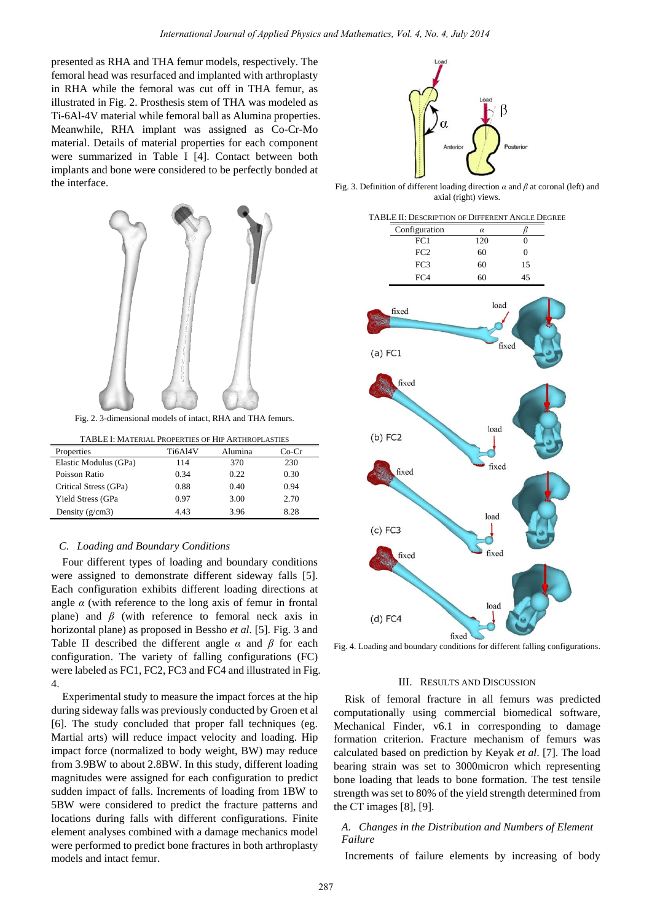presented as RHA and THA femur models, respectively. The femoral head was resurfaced and implanted with arthroplasty in RHA while the femoral was cut off in THA femur, as illustrated in Fig. 2. Prosthesis stem of THA was modeled as Ti-6Al-4V material while femoral ball as Alumina properties. Meanwhile, RHA implant was assigned as Co-Cr-Mo material. Details of material properties for each component were summarized in Table I [4]. Contact between both implants and bone were considered to be perfectly bonded at the interface.



| TABLE I: MATERIAL PROPERTIES OF HIP ARTHROPLASTIES |         |         |       |  |
|----------------------------------------------------|---------|---------|-------|--|
| Properties                                         | Ti6Al4V | Alumina | Co-Cr |  |
| Elastic Modulus (GPa)                              | 114     | 370     | 230   |  |
| Poisson Ratio                                      | 0.34    | 0.22    | 0.30  |  |
| Critical Stress (GPa)                              | 0.88    | 0.40    | 0.94  |  |
| <b>Yield Stress (GPa</b>                           | 0.97    | 3.00    | 2.70  |  |
| Density $(g/cm3)$                                  | 4.43    | 3.96    | 8.28  |  |

#### *C. Loading and Boundary Conditions*

Four different types of loading and boundary conditions were assigned to demonstrate different sideway falls [5]. Each configuration exhibits different loading directions at angle  $\alpha$  (with reference to the long axis of femur in frontal plane) and *β* (with reference to femoral neck axis in horizontal plane) as proposed in Bessho *et al*. [5]. Fig. 3 and Table II described the different angle *α* and *β* for each configuration. The variety of falling configurations (FC) were labeled as FC1, FC2, FC3 and FC4 and illustrated in Fig. 4.

Experimental study to measure the impact forces at the hip during sideway falls was previously conducted by Groen et al [6]. The study concluded that proper fall techniques (eg. Martial arts) will reduce impact velocity and loading. Hip impact force (normalized to body weight, BW) may reduce from 3.9BW to about 2.8BW. In this study, different loading magnitudes were assigned for each configuration to predict sudden impact of falls. Increments of loading from 1BW to 5BW were considered to predict the fracture patterns and locations during falls with different configurations. Finite element analyses combined with a damage mechanics model were performed to predict bone fractures in both arthroplasty models and intact femur.



Fig. 3. Definition of different loading direction *α* and *β* at coronal (left) and axial (right) views.

| TABLE II: DESCRIPTION OF DIFFERENT ANGLE DEGREE |                        |                  |  |
|-------------------------------------------------|------------------------|------------------|--|
| Configuration                                   | $\alpha$               | $_{\beta}$       |  |
| $\overline{FC1}$                                | 120                    | $\overline{0}$   |  |
| FC <sub>2</sub>                                 | 60                     | $\boldsymbol{0}$ |  |
| FC3                                             | 60                     | 15               |  |
| FC4                                             | 60                     | 45               |  |
| fixed<br>$(a)$ FC1                              | load                   | fixed            |  |
| fixed<br>$(b)$ FC2                              | load                   |                  |  |
| fixed<br>$(c)$ FC3<br>fixed                     | fixed<br>load<br>fixed |                  |  |
| $(d)$ FC4                                       | load<br>fixed          |                  |  |

Fig. 4. Loading and boundary conditions for different falling configurations.

#### III. RESULTS AND DISCUSSION

Risk of femoral fracture in all femurs was predicted computationally using commercial biomedical software, Mechanical Finder, v6.1 in corresponding to damage formation criterion. Fracture mechanism of femurs was calculated based on prediction by Keyak *et al*. [7]. The load bearing strain was set to 3000micron which representing bone loading that leads to bone formation. The test tensile strength was set to 80% of the yield strength determined from the CT images [8], [9].

## *A. Changes in the Distribution and Numbers of Element Failure*

Increments of failure elements by increasing of body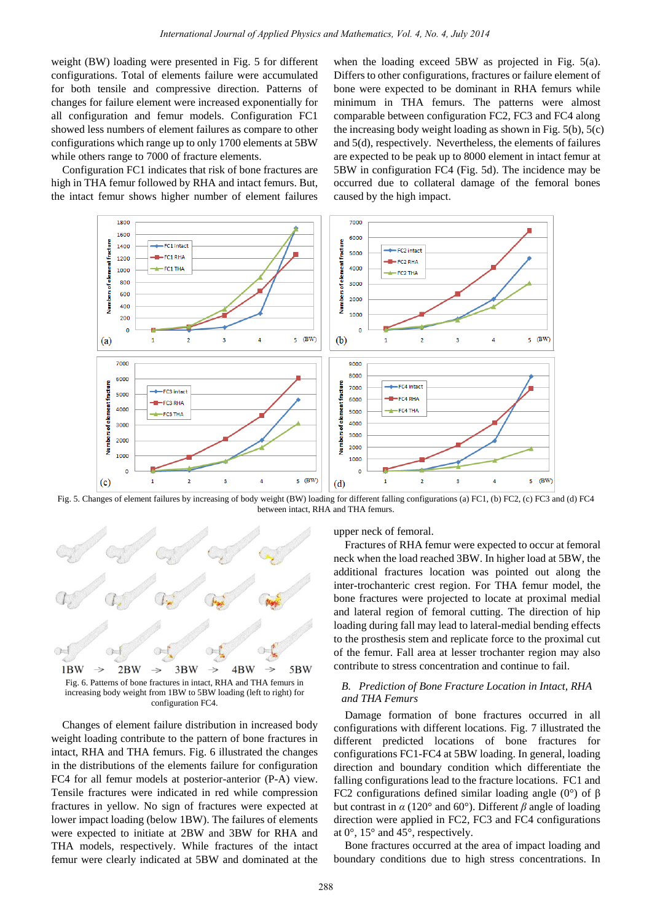weight (BW) loading were presented in Fig. 5 for different configurations. Total of elements failure were accumulated for both tensile and compressive direction. Patterns of changes for failure element were increased exponentially for all configuration and femur models. Configuration FC1 showed less numbers of element failures as compare to other configurations which range up to only 1700 elements at 5BW while others range to 7000 of fracture elements.

Configuration FC1 indicates that risk of bone fractures are high in THA femur followed by RHA and intact femurs. But, the intact femur shows higher number of element failures

when the loading exceed 5BW as projected in Fig. 5(a). Differs to other configurations, fractures or failure element of bone were expected to be dominant in RHA femurs while minimum in THA femurs. The patterns were almost comparable between configuration FC2, FC3 and FC4 along the increasing body weight loading as shown in Fig. 5(b), 5(c) and 5(d), respectively. Nevertheless, the elements of failures are expected to be peak up to 8000 element in intact femur at 5BW in configuration FC4 (Fig. 5d). The incidence may be occurred due to collateral damage of the femoral bones caused by the high impact.



Fig. 5. Changes of element failures by increasing of body weight (BW) loading for different falling configurations (a) FC1, (b) FC2, (c) FC3 and (d) FC4 between intact, RHA and THA femurs.



increasing body weight from 1BW to 5BW loading (left to right) for configuration FC4.

Changes of element failure distribution in increased body weight loading contribute to the pattern of bone fractures in intact, RHA and THA femurs. Fig. 6 illustrated the changes in the distributions of the elements failure for configuration FC4 for all femur models at posterior-anterior (P-A) view. Tensile fractures were indicated in red while compression fractures in yellow. No sign of fractures were expected at lower impact loading (below 1BW). The failures of elements were expected to initiate at 2BW and 3BW for RHA and THA models, respectively. While fractures of the intact femur were clearly indicated at 5BW and dominated at the upper neck of femoral.

Fractures of RHA femur were expected to occur at femoral neck when the load reached 3BW. In higher load at 5BW, the additional fractures location was pointed out along the inter-trochanteric crest region. For THA femur model, the bone fractures were projected to locate at proximal medial and lateral region of femoral cutting. The direction of hip loading during fall may lead to lateral-medial bending effects to the prosthesis stem and replicate force to the proximal cut of the femur. Fall area at lesser trochanter region may also contribute to stress concentration and continue to fail.

## *B. Prediction of Bone Fracture Location in Intact, RHA and THA Femurs*

Damage formation of bone fractures occurred in all configurations with different locations. Fig. 7 illustrated the different predicted locations of bone fractures for configurations FC1-FC4 at 5BW loading. In general, loading direction and boundary condition which differentiate the falling configurations lead to the fracture locations. FC1 and FC2 configurations defined similar loading angle (0 $\degree$ ) of  $\beta$ but contrast in *α* (120° and 60°). Different *β* angle of loading direction were applied in FC2, FC3 and FC4 configurations at 0°, 15° and 45°, respectively.

Bone fractures occurred at the area of impact loading and boundary conditions due to high stress concentrations. In